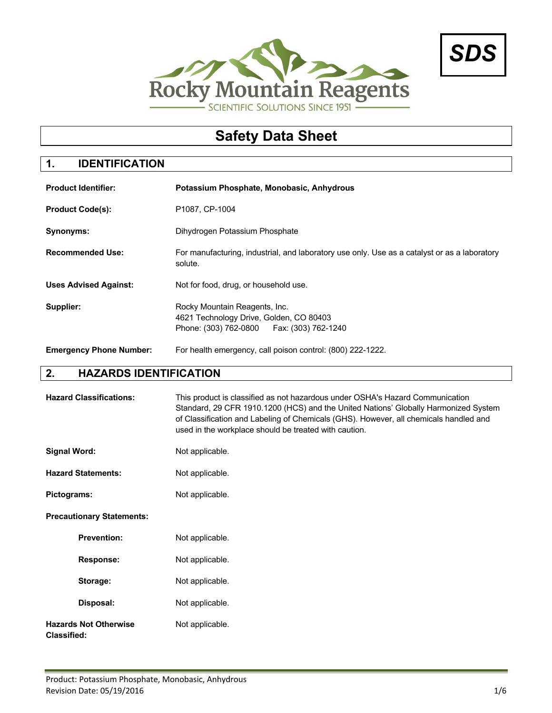



# **Safety Data Sheet**

# **1. IDENTIFICATION**

| <b>Product Identifier:</b>     | Potassium Phosphate, Monobasic, Anhydrous                                                                               |
|--------------------------------|-------------------------------------------------------------------------------------------------------------------------|
| <b>Product Code(s):</b>        | P1087. CP-1004                                                                                                          |
| Synonyms:                      | Dihydrogen Potassium Phosphate                                                                                          |
| <b>Recommended Use:</b>        | For manufacturing, industrial, and laboratory use only. Use as a catalyst or as a laboratory<br>solute.                 |
| <b>Uses Advised Against:</b>   | Not for food, drug, or household use.                                                                                   |
| Supplier:                      | Rocky Mountain Reagents, Inc.<br>4621 Technology Drive, Golden, CO 80403<br>Phone: (303) 762-0800   Fax: (303) 762-1240 |
| <b>Emergency Phone Number:</b> | For health emergency, call poison control: (800) 222-1222.                                                              |

# **2. HAZARDS IDENTIFICATION**

| <b>Hazard Classifications:</b>                     | This product is classified as not hazardous under OSHA's Hazard Communication<br>Standard, 29 CFR 1910.1200 (HCS) and the United Nations' Globally Harmonized System<br>of Classification and Labeling of Chemicals (GHS). However, all chemicals handled and<br>used in the workplace should be treated with caution. |
|----------------------------------------------------|------------------------------------------------------------------------------------------------------------------------------------------------------------------------------------------------------------------------------------------------------------------------------------------------------------------------|
| <b>Signal Word:</b>                                | Not applicable.                                                                                                                                                                                                                                                                                                        |
| <b>Hazard Statements:</b>                          | Not applicable.                                                                                                                                                                                                                                                                                                        |
| Pictograms:                                        | Not applicable.                                                                                                                                                                                                                                                                                                        |
| <b>Precautionary Statements:</b>                   |                                                                                                                                                                                                                                                                                                                        |
| <b>Prevention:</b>                                 | Not applicable.                                                                                                                                                                                                                                                                                                        |
| <b>Response:</b>                                   | Not applicable.                                                                                                                                                                                                                                                                                                        |
| Storage:                                           | Not applicable.                                                                                                                                                                                                                                                                                                        |
| Disposal:                                          | Not applicable.                                                                                                                                                                                                                                                                                                        |
| <b>Hazards Not Otherwise</b><br><b>Classified:</b> | Not applicable.                                                                                                                                                                                                                                                                                                        |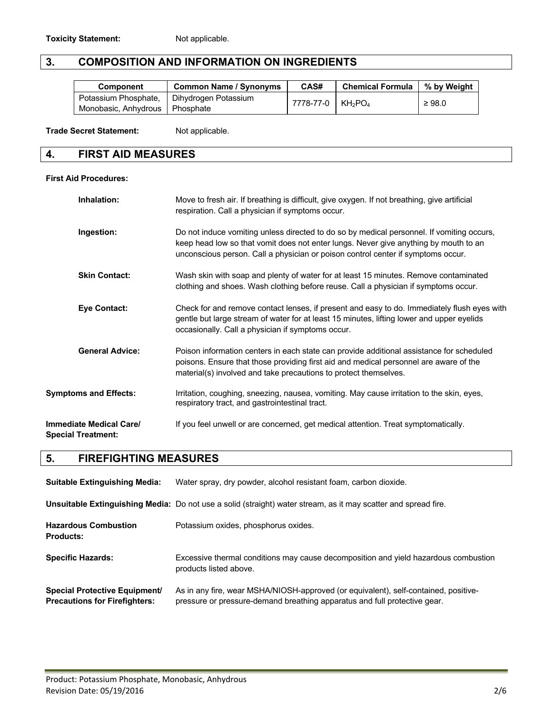# **3. COMPOSITION AND INFORMATION ON INGREDIENTS**

| <b>Component</b>                 | <b>Common Name / Synonyms</b> | CAS#             | <b>Chemical Formula</b> | % by Weight |
|----------------------------------|-------------------------------|------------------|-------------------------|-------------|
| Potassium Phosphate,             | Dihydrogen Potassium          | 7778-77-0 KH2PO4 |                         | $\geq 98.0$ |
| Monobasic, Anhydrous   Phosphate |                               |                  |                         |             |

Trade Secret Statement: Not applicable.

## **4. FIRST AID MEASURES**

#### **First Aid Procedures:**

| Inhalation:                                                 | Move to fresh air. If breathing is difficult, give oxygen. If not breathing, give artificial<br>respiration. Call a physician if symptoms occur.                                                                                                                      |
|-------------------------------------------------------------|-----------------------------------------------------------------------------------------------------------------------------------------------------------------------------------------------------------------------------------------------------------------------|
| Ingestion:                                                  | Do not induce vomiting unless directed to do so by medical personnel. If vomiting occurs,<br>keep head low so that vomit does not enter lungs. Never give anything by mouth to an<br>unconscious person. Call a physician or poison control center if symptoms occur. |
| <b>Skin Contact:</b>                                        | Wash skin with soap and plenty of water for at least 15 minutes. Remove contaminated<br>clothing and shoes. Wash clothing before reuse. Call a physician if symptoms occur.                                                                                           |
| <b>Eye Contact:</b>                                         | Check for and remove contact lenses, if present and easy to do. Immediately flush eyes with<br>gentle but large stream of water for at least 15 minutes, lifting lower and upper eyelids<br>occasionally. Call a physician if symptoms occur.                         |
| <b>General Advice:</b>                                      | Poison information centers in each state can provide additional assistance for scheduled<br>poisons. Ensure that those providing first aid and medical personnel are aware of the<br>material(s) involved and take precautions to protect themselves.                 |
| <b>Symptoms and Effects:</b>                                | Irritation, coughing, sneezing, nausea, vomiting. May cause irritation to the skin, eyes,<br>respiratory tract, and gastrointestinal tract.                                                                                                                           |
| <b>Immediate Medical Care/</b><br><b>Special Treatment:</b> | If you feel unwell or are concerned, get medical attention. Treat symptomatically.                                                                                                                                                                                    |

# **5. FIREFIGHTING MEASURES**

| <b>Suitable Extinguishing Media:</b>                                         | Water spray, dry powder, alcohol resistant foam, carbon dioxide.                                                                                                 |
|------------------------------------------------------------------------------|------------------------------------------------------------------------------------------------------------------------------------------------------------------|
|                                                                              | Unsuitable Extinguishing Media: Do not use a solid (straight) water stream, as it may scatter and spread fire.                                                   |
| <b>Hazardous Combustion</b><br><b>Products:</b>                              | Potassium oxides, phosphorus oxides.                                                                                                                             |
| <b>Specific Hazards:</b>                                                     | Excessive thermal conditions may cause decomposition and yield hazardous combustion<br>products listed above.                                                    |
| <b>Special Protective Equipment/</b><br><b>Precautions for Firefighters:</b> | As in any fire, wear MSHA/NIOSH-approved (or equivalent), self-contained, positive-<br>pressure or pressure-demand breathing apparatus and full protective gear. |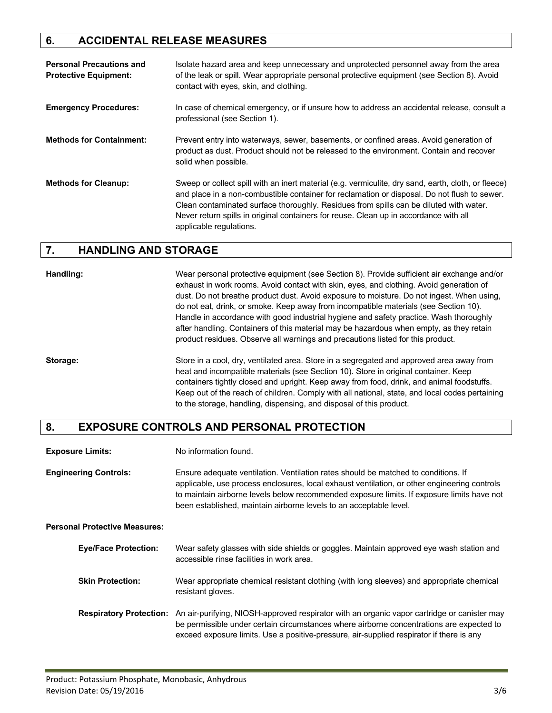# **6. ACCIDENTAL RELEASE MEASURES**

| <b>Personal Precautions and</b><br><b>Protective Equipment:</b> | Isolate hazard area and keep unnecessary and unprotected personnel away from the area<br>of the leak or spill. Wear appropriate personal protective equipment (see Section 8). Avoid<br>contact with eyes, skin, and clothing.                                                                                                                                                                                    |
|-----------------------------------------------------------------|-------------------------------------------------------------------------------------------------------------------------------------------------------------------------------------------------------------------------------------------------------------------------------------------------------------------------------------------------------------------------------------------------------------------|
| <b>Emergency Procedures:</b>                                    | In case of chemical emergency, or if unsure how to address an accidental release, consult a<br>professional (see Section 1).                                                                                                                                                                                                                                                                                      |
| <b>Methods for Containment:</b>                                 | Prevent entry into waterways, sewer, basements, or confined areas. Avoid generation of<br>product as dust. Product should not be released to the environment. Contain and recover<br>solid when possible.                                                                                                                                                                                                         |
| <b>Methods for Cleanup:</b>                                     | Sweep or collect spill with an inert material (e.g. vermiculite, dry sand, earth, cloth, or fleece)<br>and place in a non-combustible container for reclamation or disposal. Do not flush to sewer.<br>Clean contaminated surface thoroughly. Residues from spills can be diluted with water.<br>Never return spills in original containers for reuse. Clean up in accordance with all<br>applicable regulations. |

## **7. HANDLING AND STORAGE**

**Handling:** Wear personal protective equipment (see Section 8). Provide sufficient air exchange and/or exhaust in work rooms. Avoid contact with skin, eyes, and clothing. Avoid generation of dust. Do not breathe product dust. Avoid exposure to moisture. Do not ingest. When using, do not eat, drink, or smoke. Keep away from incompatible materials (see Section 10). Handle in accordance with good industrial hygiene and safety practice. Wash thoroughly after handling. Containers of this material may be hazardous when empty, as they retain product residues. Observe all warnings and precautions listed for this product.

**Storage:** Store in a cool, dry, ventilated area. Store in a segregated and approved area away from heat and incompatible materials (see Section 10). Store in original container. Keep containers tightly closed and upright. Keep away from food, drink, and animal foodstuffs. Keep out of the reach of children. Comply with all national, state, and local codes pertaining to the storage, handling, dispensing, and disposal of this product.

### **8. EXPOSURE CONTROLS AND PERSONAL PROTECTION**

| <b>Exposure Limits:</b>              | No information found.                                                                                                                                                                                                                                                                                                                                  |
|--------------------------------------|--------------------------------------------------------------------------------------------------------------------------------------------------------------------------------------------------------------------------------------------------------------------------------------------------------------------------------------------------------|
| <b>Engineering Controls:</b>         | Ensure adequate ventilation. Ventilation rates should be matched to conditions. If<br>applicable, use process enclosures, local exhaust ventilation, or other engineering controls<br>to maintain airborne levels below recommended exposure limits. If exposure limits have not<br>been established, maintain airborne levels to an acceptable level. |
| <b>Personal Protective Measures:</b> |                                                                                                                                                                                                                                                                                                                                                        |
| <b>Eye/Face Protection:</b>          | Wear safety glasses with side shields or goggles. Maintain approved eye wash station and<br>accessible rinse facilities in work area.                                                                                                                                                                                                                  |
| <b>Skin Protection:</b>              | Wear appropriate chemical resistant clothing (with long sleeves) and appropriate chemical<br>resistant gloves.                                                                                                                                                                                                                                         |
| <b>Respiratory Protection:</b>       | An air-purifying, NIOSH-approved respirator with an organic vapor cartridge or canister may<br>be permissible under certain circumstances where airborne concentrations are expected to<br>exceed exposure limits. Use a positive-pressure, air-supplied respirator if there is any                                                                    |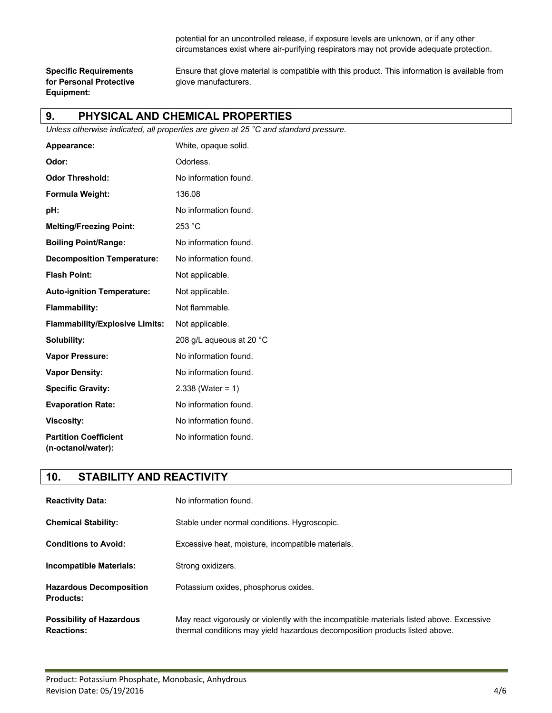potential for an uncontrolled release, if exposure levels are unknown, or if any other circumstances exist where air-purifying respirators may not provide adequate protection.

**for Personal Protective glove manufacturers. Equipment:**

**Specific Requirements** Ensure that glove material is compatible with this product. This information is available from

### **9. PHYSICAL AND CHEMICAL PROPERTIES**

*Unless otherwise indicated, all properties are given at 25 °C and standard pressure.*

| Appearance:                                        | White, opaque solid.     |
|----------------------------------------------------|--------------------------|
| Odor:                                              | Odorless.                |
| <b>Odor Threshold:</b>                             | No information found.    |
| Formula Weight:                                    | 136.08                   |
| pH:                                                | No information found.    |
| <b>Melting/Freezing Point:</b>                     | 253 °C                   |
| <b>Boiling Point/Range:</b>                        | No information found.    |
| <b>Decomposition Temperature:</b>                  | No information found.    |
| <b>Flash Point:</b>                                | Not applicable.          |
| <b>Auto-ignition Temperature:</b>                  | Not applicable.          |
| Flammability:                                      | Not flammable.           |
| <b>Flammability/Explosive Limits:</b>              | Not applicable.          |
| Solubility:                                        | 208 g/L aqueous at 20 °C |
| <b>Vapor Pressure:</b>                             | No information found.    |
| <b>Vapor Density:</b>                              | No information found.    |
| <b>Specific Gravity:</b>                           | $2.338$ (Water = 1)      |
| <b>Evaporation Rate:</b>                           | No information found.    |
| <b>Viscosity:</b>                                  | No information found.    |
| <b>Partition Coefficient</b><br>(n-octanol/water): | No information found.    |

### **10. STABILITY AND REACTIVITY**

| <b>Reactivity Data:</b>                              | No information found.                                                                                                                                                    |
|------------------------------------------------------|--------------------------------------------------------------------------------------------------------------------------------------------------------------------------|
| <b>Chemical Stability:</b>                           | Stable under normal conditions. Hygroscopic.                                                                                                                             |
| <b>Conditions to Avoid:</b>                          | Excessive heat, moisture, incompatible materials.                                                                                                                        |
| <b>Incompatible Materials:</b>                       | Strong oxidizers.                                                                                                                                                        |
| <b>Hazardous Decomposition</b><br><b>Products:</b>   | Potassium oxides, phosphorus oxides.                                                                                                                                     |
| <b>Possibility of Hazardous</b><br><b>Reactions:</b> | May react vigorously or violently with the incompatible materials listed above. Excessive<br>thermal conditions may yield hazardous decomposition products listed above. |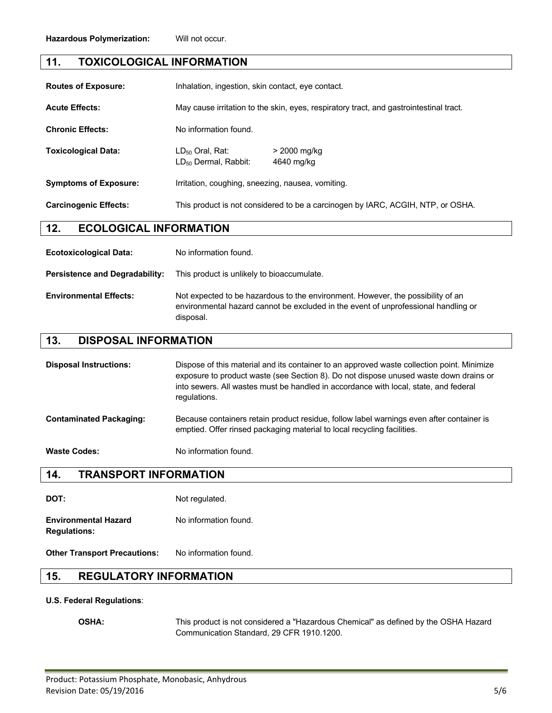### **11. TOXICOLOGICAL INFORMATION**

| <b>Routes of Exposure:</b>   | Inhalation, ingestion, skin contact, eye contact.                                      |                            |
|------------------------------|----------------------------------------------------------------------------------------|----------------------------|
| <b>Acute Effects:</b>        | May cause irritation to the skin, eyes, respiratory tract, and gastrointestinal tract. |                            |
| <b>Chronic Effects:</b>      | No information found.                                                                  |                            |
| <b>Toxicological Data:</b>   | $LD_{50}$ Oral. Rat:<br>LD <sub>50</sub> Dermal, Rabbit:                               | > 2000 mg/kg<br>4640 mg/kg |
| <b>Symptoms of Exposure:</b> | Irritation, coughing, sneezing, nausea, vomiting.                                      |                            |
| <b>Carcinogenic Effects:</b> | This product is not considered to be a carcinogen by IARC, ACGIH, NTP, or OSHA.        |                            |

#### **12. ECOLOGICAL INFORMATION**

| <b>Ecotoxicological Data:</b>         | No information found.                                                                                                                                                              |
|---------------------------------------|------------------------------------------------------------------------------------------------------------------------------------------------------------------------------------|
| <b>Persistence and Degradability:</b> | This product is unlikely to bioaccumulate.                                                                                                                                         |
| <b>Environmental Effects:</b>         | Not expected to be hazardous to the environment. However, the possibility of an<br>environmental hazard cannot be excluded in the event of unprofessional handling or<br>disposal. |

#### **13. DISPOSAL INFORMATION**

**Disposal Instructions:** Dispose of this material and its container to an approved waste collection point. Minimize exposure to product waste (see Section 8). Do not dispose unused waste down drains or into sewers. All wastes must be handled in accordance with local, state, and federal regulations. **Contaminated Packaging:** Because containers retain product residue, follow label warnings even after container is emptied. Offer rinsed packaging material to local recycling facilities.

Waste Codes: No information found.

# **14. TRANSPORT INFORMATION**

**DOT:** Not regulated.

**Environmental Hazard** No information found. **Regulations:**

**Other Transport Precautions:** No information found.

### **15. REGULATORY INFORMATION**

#### **U.S. Federal Regulations**:

**OSHA:** This product is not considered a "Hazardous Chemical" as defined by the OSHA Hazard Communication Standard, 29 CFR 1910.1200.